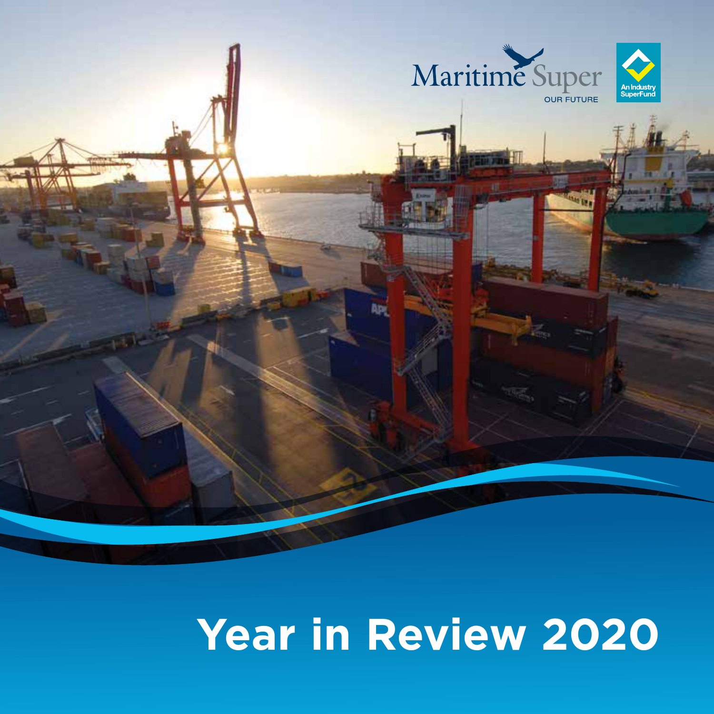



# **Year in Review 2020**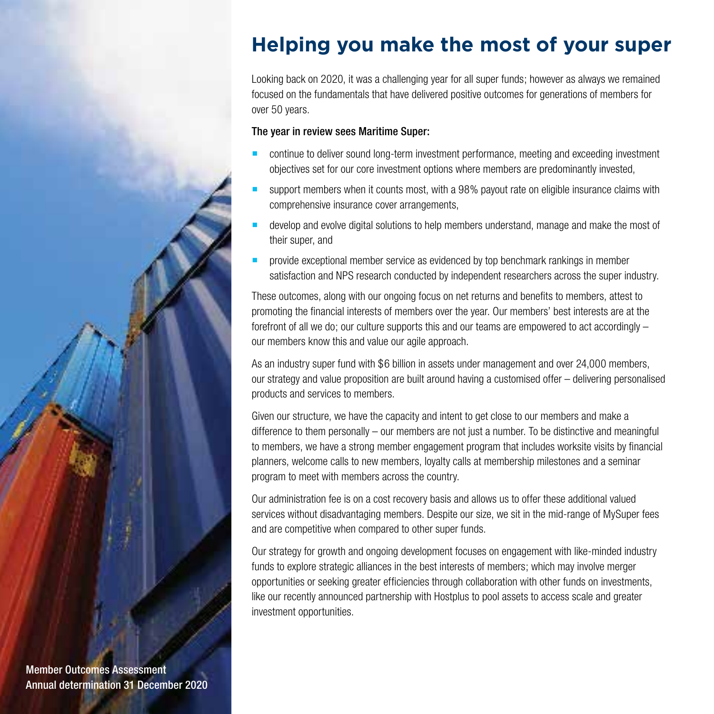## **Helping you make the most of your super**

Looking back on 2020, it was a challenging year for all super funds; however as always we remained focused on the fundamentals that have delivered positive outcomes for generations of members for over 50 years.

#### The year in review sees Maritime Super:

- continue to deliver sound long-term investment performance, meeting and exceeding investment objectives set for our core investment options where members are predominantly invested,
- support members when it counts most, with a 98% payout rate on eligible insurance claims with comprehensive insurance cover arrangements,
- develop and evolve digital solutions to help members understand, manage and make the most of their super, and
- **PED Provide exceptional member service as evidenced by top benchmark rankings in member** satisfaction and NPS research conducted by independent researchers across the super industry.

These outcomes, along with our ongoing focus on net returns and benefits to members, attest to promoting the financial interests of members over the year. Our members' best interests are at the forefront of all we do; our culture supports this and our teams are empowered to act accordingly – our members know this and value our agile approach.

As an industry super fund with \$6 billion in assets under management and over 24,000 members, our strategy and value proposition are built around having a customised offer – delivering personalised products and services to members.

Given our structure, we have the capacity and intent to get close to our members and make a difference to them personally  $-$  our members are not just a number. To be distinctive and meaningful to members, we have a strong member engagement program that includes worksite visits by financial planners, welcome calls to new members, loyalty calls at membership milestones and a seminar program to meet with members across the country.

Our administration fee is on a cost recovery basis and allows us to offer these additional valued services without disadvantaging members. Despite our size, we sit in the mid-range of MySuper fees and are competitive when compared to other super funds.

Our strategy for growth and ongoing development focuses on engagement with like-minded industry funds to explore strategic alliances in the best interests of members; which may involve merger opportunities or seeking greater efficiencies through collaboration with other funds on investments, like our recently announced partnership with Hostplus to pool assets to access scale and greater investment opportunities.

Member Outcomes Assessment Annual determination 31 December 2020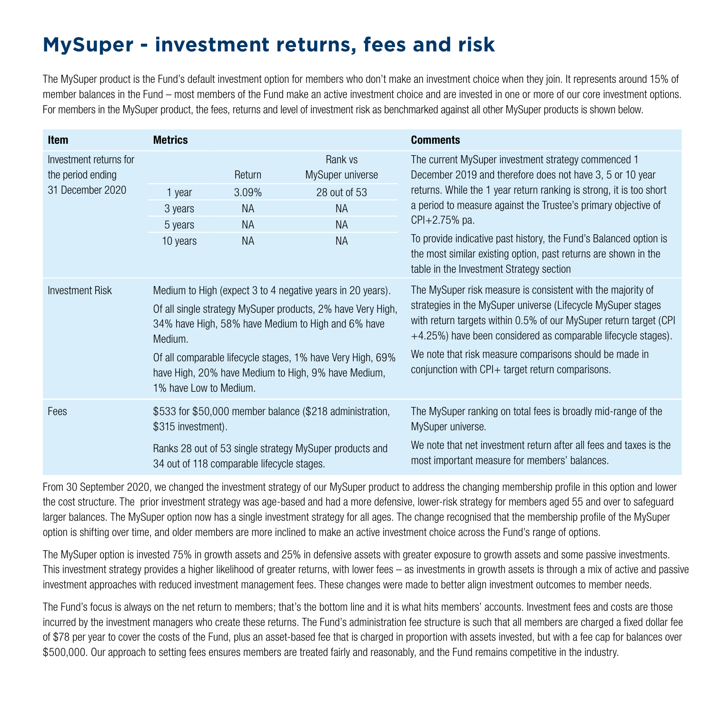## **MySuper - investment returns, fees and risk**

The MySuper product is the Fund's default investment option for members who don't make an investment choice when they join. It represents around 15% of member balances in the Fund – most members of the Fund make an active investment choice and are invested in one or more of our core investment options. For members in the MySuper product, the fees, returns and level of investment risk as benchmarked against all other MySuper products is shown below.

| <b>Item</b>                                                     | <b>Metrics</b>                                                                                                                                                                                                                                                                                                                            |                                                        |                                                                                    | <b>Comments</b>                                                                                                                                                                                                                                                                                                                                                                                                                                                |  |  |
|-----------------------------------------------------------------|-------------------------------------------------------------------------------------------------------------------------------------------------------------------------------------------------------------------------------------------------------------------------------------------------------------------------------------------|--------------------------------------------------------|------------------------------------------------------------------------------------|----------------------------------------------------------------------------------------------------------------------------------------------------------------------------------------------------------------------------------------------------------------------------------------------------------------------------------------------------------------------------------------------------------------------------------------------------------------|--|--|
| Investment returns for<br>the period ending<br>31 December 2020 | 1 year<br>3 years<br>5 years<br>10 years                                                                                                                                                                                                                                                                                                  | Return<br>3.09%<br><b>NA</b><br><b>NA</b><br><b>NA</b> | Rank vs<br>MySuper universe<br>28 out of 53<br><b>NA</b><br><b>NA</b><br><b>NA</b> | The current MySuper investment strategy commenced 1<br>December 2019 and therefore does not have 3, 5 or 10 year<br>returns. While the 1 year return ranking is strong, it is too short<br>a period to measure against the Trustee's primary objective of<br>CPI+2.75% pa.<br>To provide indicative past history, the Fund's Balanced option is<br>the most similar existing option, past returns are shown in the<br>table in the Investment Strategy section |  |  |
| <b>Investment Risk</b>                                          | Medium to High (expect 3 to 4 negative years in 20 years).<br>Of all single strategy MySuper products, 2% have Very High,<br>34% have High, 58% have Medium to High and 6% have<br>Medium.<br>Of all comparable lifecycle stages, 1% have Very High, 69%<br>have High, 20% have Medium to High, 9% have Medium,<br>1% have Low to Medium. |                                                        |                                                                                    | The MySuper risk measure is consistent with the majority of<br>strategies in the MySuper universe (Lifecycle MySuper stages<br>with return targets within 0.5% of our MySuper return target (CPI<br>$+4.25\%$ ) have been considered as comparable lifecycle stages).<br>We note that risk measure comparisons should be made in<br>conjunction with $CPI+$ target return comparisons.                                                                         |  |  |
| Fees                                                            | \$315 investment).                                                                                                                                                                                                                                                                                                                        |                                                        | \$533 for \$50,000 member balance (\$218 administration,                           | The MySuper ranking on total fees is broadly mid-range of the<br>MySuper universe.                                                                                                                                                                                                                                                                                                                                                                             |  |  |
|                                                                 | 34 out of 118 comparable lifecycle stages.                                                                                                                                                                                                                                                                                                |                                                        | Ranks 28 out of 53 single strategy MySuper products and                            | We note that net investment return after all fees and taxes is the<br>most important measure for members' balances.                                                                                                                                                                                                                                                                                                                                            |  |  |

From 30 September 2020, we changed the investment strategy of our MySuper product to address the changing membership profile in this option and lower the cost structure. The prior investment strategy was age-based and had a more defensive, lower-risk strategy for members aged 55 and over to safeguard larger balances. The MySuper option now has a single investment strategy for all ages. The change recognised that the membership profile of the MySuper option is shifting over time, and older members are more inclined to make an active investment choice across the Fund's range of options.

The MySuper option is invested 75% in growth assets and 25% in defensive assets with greater exposure to growth assets and some passive investments. This investment strategy provides a higher likelihood of greater returns, with lower fees – as investments in growth assets is through a mix of active and passive investment approaches with reduced investment management fees. These changes were made to better align investment outcomes to member needs.

The Fund's focus is always on the net return to members; that's the bottom line and it is what hits members' accounts. Investment fees and costs are those incurred by the investment managers who create these returns. The Fund's administration fee structure is such that all members are charged a fixed dollar fee of \$78 per year to cover the costs of the Fund, plus an asset-based fee that is charged in proportion with assets invested, but with a fee cap for balances over \$500,000. Our approach to setting fees ensures members are treated fairly and reasonably, and the Fund remains competitive in the industry.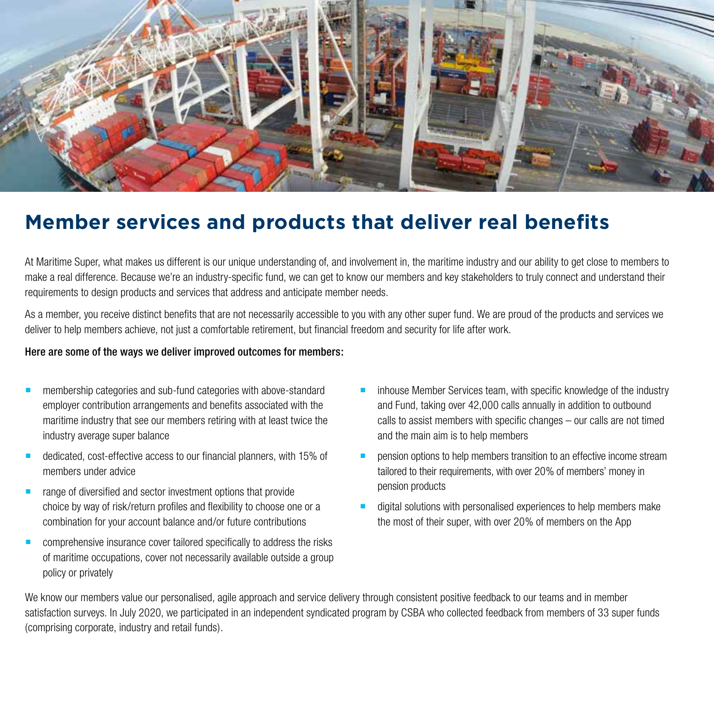

### **Member services and products that deliver real benefits**

At Maritime Super, what makes us different is our unique understanding of, and involvement in, the maritime industry and our ability to get close to members to make a real difference. Because we're an industry-specific fund, we can get to know our members and key stakeholders to truly connect and understand their requirements to design products and services that address and anticipate member needs.

As a member, you receive distinct benefits that are not necessarily accessible to you with any other super fund. We are proud of the products and services we deliver to help members achieve, not just a comfortable retirement, but financial freedom and security for life after work.

#### Here are some of the ways we deliver improved outcomes for members:

- membership categories and sub-fund categories with above-standard employer contribution arrangements and benefits associated with the maritime industry that see our members retiring with at least twice the industry average super balance
- dedicated, cost-effective access to our financial planners, with 15% of members under advice
- range of diversified and sector investment options that provide choice by way of risk/return profiles and flexibility to choose one or a combination for your account balance and/or future contributions
- **EXECOMPTER COMPTER COVERTM** constrained specifically to address the risks of maritime occupations, cover not necessarily available outside a group policy or privately
- inhouse Member Services team, with specific knowledge of the industry and Fund, taking over 42,000 calls annually in addition to outbound calls to assist members with specific changes – our calls are not timed and the main aim is to help members
- pension options to help members transition to an effective income stream tailored to their requirements, with over 20% of members' money in pension products
- digital solutions with personalised experiences to help members make the most of their super, with over 20% of members on the App

We know our members value our personalised, agile approach and service delivery through consistent positive feedback to our teams and in member satisfaction surveys. In July 2020, we participated in an independent syndicated program by CSBA who collected feedback from members of 33 super funds (comprising corporate, industry and retail funds).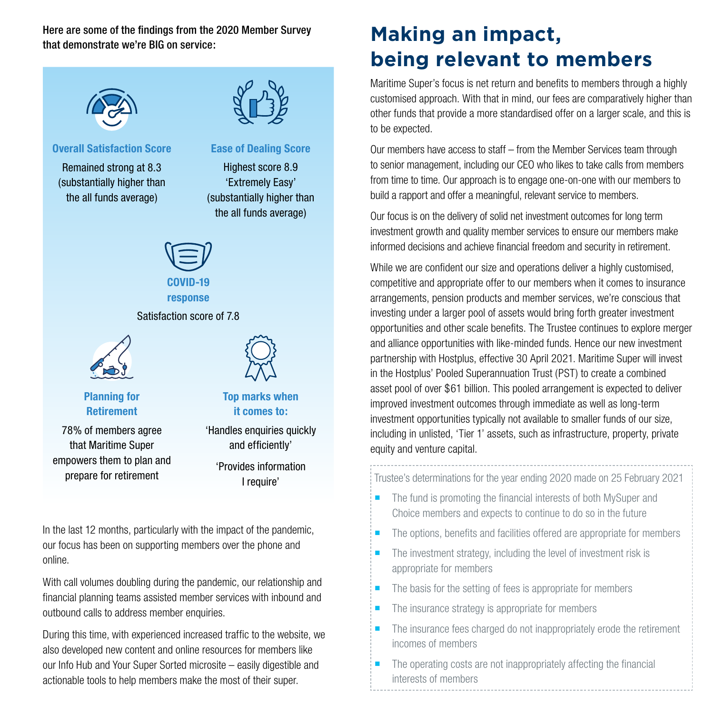Here are some of the findings from the 2020 Member Survey that demonstrate we're BIG on service:



#### **Overall Satisfaction Score**

Remained strong at 8.3 (substantially higher than the all funds average)



#### **Ease of Dealing Score**

Highest score 8.9 'Extremely Easy' (substantially higher than the all funds average)



### **response**

Satisfaction score of 7.8





#### **Planning for Retirement**

78% of members agree that Maritime Super empowers them to plan and prepare for retirement

**Top marks when it comes to:**

'Handles enquiries quickly and efficiently'

> 'Provides information I require'

In the last 12 months, particularly with the impact of the pandemic, our focus has been on supporting members over the phone and online.

With call volumes doubling during the pandemic, our relationship and financial planning teams assisted member services with inbound and outbound calls to address member enquiries.

During this time, with experienced increased traffic to the website, we also developed new content and online resources for members like our Info Hub and Your Super Sorted microsite – easily digestible and actionable tools to help members make the most of their super.

### **Making an impact, being relevant to members**

Maritime Super's focus is net return and benefits to members through a highly customised approach. With that in mind, our fees are comparatively higher than other funds that provide a more standardised offer on a larger scale, and this is to be expected.

Our members have access to staff – from the Member Services team through to senior management, including our CEO who likes to take calls from members from time to time. Our approach is to engage one-on-one with our members to build a rapport and offer a meaningful, relevant service to members.

Our focus is on the delivery of solid net investment outcomes for long term investment growth and quality member services to ensure our members make informed decisions and achieve financial freedom and security in retirement.

While we are confident our size and operations deliver a highly customised, competitive and appropriate offer to our members when it comes to insurance arrangements, pension products and member services, we're conscious that investing under a larger pool of assets would bring forth greater investment opportunities and other scale benefits. The Trustee continues to explore merger and alliance opportunities with like-minded funds. Hence our new investment partnership with Hostplus, effective 30 April 2021. Maritime Super will invest in the Hostplus' Pooled Superannuation Trust (PST) to create a combined asset pool of over \$61 billion. This pooled arrangement is expected to deliver improved investment outcomes through immediate as well as long-term investment opportunities typically not available to smaller funds of our size, including in unlisted, 'Tier 1' assets, such as infrastructure, property, private equity and venture capital.

Trustee's determinations for the year ending 2020 made on 25 February 2021

- The fund is promoting the financial interests of both MySuper and Choice members and expects to continue to do so in the future
- The options, benefits and facilities offered are appropriate for members
- $\blacksquare$  The investment strategy, including the level of investment risk is appropriate for members
- The basis for the setting of fees is appropriate for members
- The insurance strategy is appropriate for members
- $\blacksquare$  The insurance fees charged do not inappropriately erode the retirement incomes of members
- The operating costs are not inappropriately affecting the financial interests of members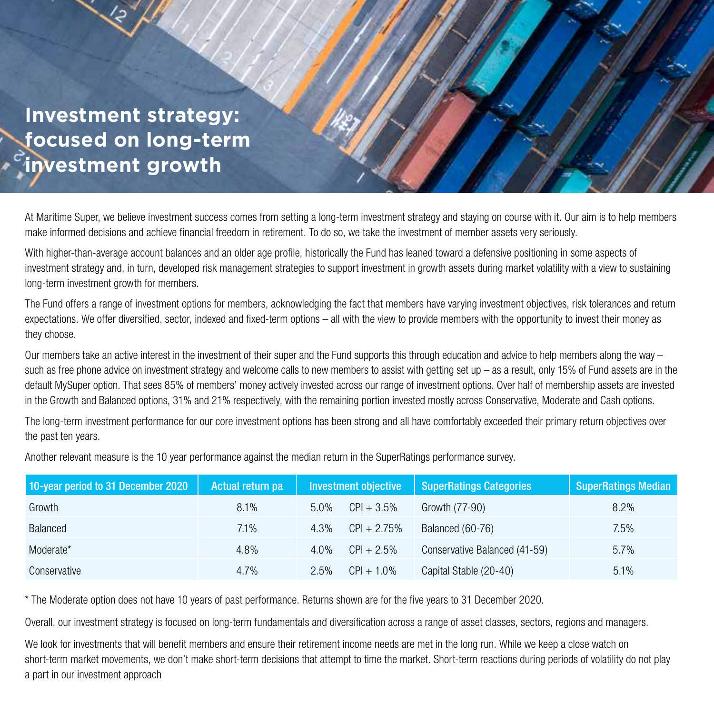**Investment strategy: focused on long-term investment growth**

At Maritime Super, we believe investment success comes from setting a long-term investment strategy and staying on course with it. Our aim is to help members make informed decisions and achieve financial freedom in retirement. To do so, we take the investment of member assets very seriously.

With higher-than-average account balances and an older age profile, historically the Fund has leaned toward a defensive positioning in some aspects of investment strategy and, in turn, developed risk management strategies to support investment in growth assets during market volatility with a view to sustaining long-term investment growth for members.

The Fund offers a range of investment options for members, acknowledging the fact that members have varying investment objectives, risk tolerances and return expectations. We offer diversified, sector, indexed and fixed-term options – all with the view to provide members with the opportunity to invest their money as they choose.

Our members take an active interest in the investment of their super and the Fund supports this through education and advice to help members along the way – such as free phone advice on investment strategy and welcome calls to new members to assist with getting set up – as a result, only 15% of Fund assets are in the default MySuper option. That sees 85% of members' money actively invested across our range of investment options. Over half of membership assets are invested in the Growth and Balanced options, 31% and 21% respectively, with the remaining portion invested mostly across Conservative, Moderate and Cash options.

The long-term investment performance for our core investment options has been strong and all have comfortably exceeded their primary return objectives over the past ten years.

Another relevant measure is the 10 year performance against the median return in the SuperRatings performance survey.

| 10-year period to 31 December 2020 | Actual return pa | Investment objective |                | SuperRatings Categories       | <b>SuperRatings Median</b> |
|------------------------------------|------------------|----------------------|----------------|-------------------------------|----------------------------|
| Growth                             | $8.1\%$          | 5.0%                 | $CPI + 3.5\%$  | Growth (77-90)                | $8.2\%$                    |
| Balanced                           | 7.1%             | 4.3%                 | $CPI + 2.75\%$ | Balanced (60-76)              | 7.5%                       |
| Moderate*                          | 4.8%             | $4.0\%$              | $CPI + 2.5%$   | Conservative Balanced (41-59) | 5.7%                       |
| Conservative                       | $4.7\%$          | 2.5%                 | $CPI + 1.0\%$  | Capital Stable (20-40)        | 5.1%                       |

\* The Moderate option does not have 10 years of past performance. Returns shown are for the five years to 31 December 2020.

Overall, our investment strategy is focused on long-term fundamentals and diversification across a range of asset classes, sectors, regions and managers.

We look for investments that will benefit members and ensure their retirement income needs are met in the long run. While we keep a close watch on short-term market movements, we don't make short-term decisions that attempt to time the market. Short-term reactions during periods of volatility do not play a part in our investment approach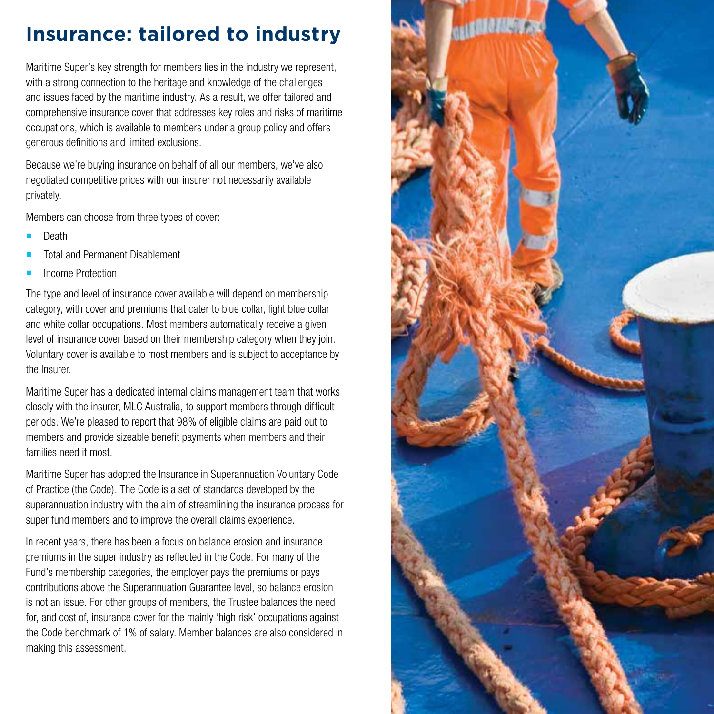### **Insurance: tailored to industry**

Maritime Super's key strength for members lies in the industry we represent, with a strong connection to the heritage and knowledge of the challenges and issues faced by the maritime industry. As a result, we offer tailored and comprehensive insurance cover that addresses key roles and risks of maritime occupations, which is available to members under a group policy and offers generous definitions and limited exclusions.

Because we're buying insurance on behalf of all our members, we've also negotiated competitive prices with our insurer not necessarily available privately.

Members can choose from three types of cover:

- Death
- Total and Permanent Disablement
- Income Protection

The type and level of insurance cover available will depend on membership category, with cover and premiums that cater to blue collar, light blue collar and white collar occupations. Most members automatically receive a given level of insurance cover based on their membership category when they join. Voluntary cover is available to most members and is subject to acceptance by the Insurer.

Maritime Super has a dedicated internal claims management team that works closely with the insurer, MLC Australia, to support members through difficult periods. We're pleased to report that 98% of eligible claims are paid out to members and provide sizeable benefit payments when members and their families need it most.

Maritime Super has adopted the Insurance in Superannuation Voluntary Code of Practice (the Code). The Code is a set of standards developed by the superannuation industry with the aim of streamlining the insurance process for super fund members and to improve the overall claims experience.

In recent years, there has been a focus on balance erosion and insurance premiums in the super industry as reflected in the Code. For many of the Fund's membership categories, the employer pays the premiums or pays contributions above the Superannuation Guarantee level, so balance erosion is not an issue. For other groups of members, the Trustee balances the need for, and cost of, insurance cover for the mainly 'high risk' occupations against the Code benchmark of 1% of salary. Member balances are also considered in making this assessment.